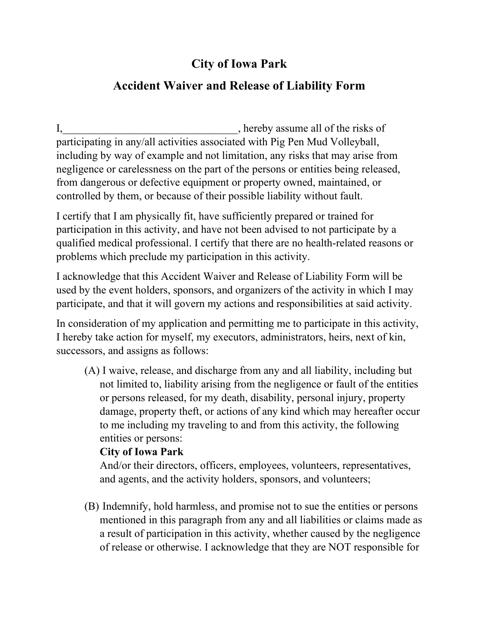# **City of Iowa Park**

### **Accident Waiver and Release of Liability Form**

I, hereby assume all of the risks of participating in any/all activities associated with Pig Pen Mud Volleyball, including by way of example and not limitation, any risks that may arise from negligence or carelessness on the part of the persons or entities being released, from dangerous or defective equipment or property owned, maintained, or controlled by them, or because of their possible liability without fault.

I certify that I am physically fit, have sufficiently prepared or trained for participation in this activity, and have not been advised to not participate by a qualified medical professional. I certify that there are no health-related reasons or problems which preclude my participation in this activity.

I acknowledge that this Accident Waiver and Release of Liability Form will be used by the event holders, sponsors, and organizers of the activity in which I may participate, and that it will govern my actions and responsibilities at said activity.

In consideration of my application and permitting me to participate in this activity, I hereby take action for myself, my executors, administrators, heirs, next of kin, successors, and assigns as follows:

(A) I waive, release, and discharge from any and all liability, including but not limited to, liability arising from the negligence or fault of the entities or persons released, for my death, disability, personal injury, property damage, property theft, or actions of any kind which may hereafter occur to me including my traveling to and from this activity, the following entities or persons:

#### **City of Iowa Park**

And/or their directors, officers, employees, volunteers, representatives, and agents, and the activity holders, sponsors, and volunteers;

(B) Indemnify, hold harmless, and promise not to sue the entities or persons mentioned in this paragraph from any and all liabilities or claims made as a result of participation in this activity, whether caused by the negligence of release or otherwise. I acknowledge that they are NOT responsible for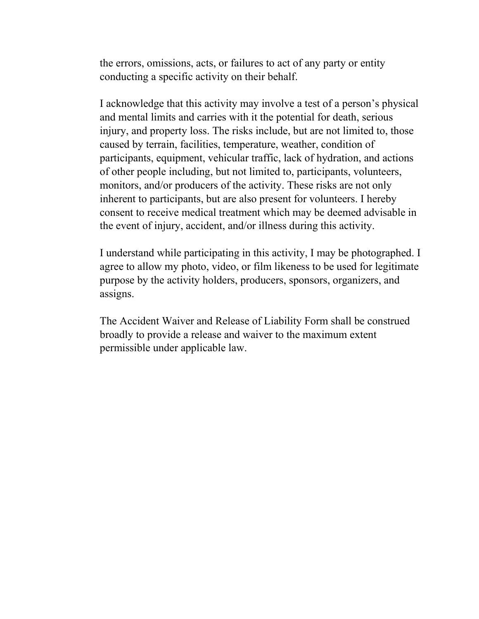the errors, omissions, acts, or failures to act of any party or entity conducting a specific activity on their behalf.

I acknowledge that this activity may involve a test of a person's physical and mental limits and carries with it the potential for death, serious injury, and property loss. The risks include, but are not limited to, those caused by terrain, facilities, temperature, weather, condition of participants, equipment, vehicular traffic, lack of hydration, and actions of other people including, but not limited to, participants, volunteers, monitors, and/or producers of the activity. These risks are not only inherent to participants, but are also present for volunteers. I hereby consent to receive medical treatment which may be deemed advisable in the event of injury, accident, and/or illness during this activity.

I understand while participating in this activity, I may be photographed. I agree to allow my photo, video, or film likeness to be used for legitimate purpose by the activity holders, producers, sponsors, organizers, and assigns.

The Accident Waiver and Release of Liability Form shall be construed broadly to provide a release and waiver to the maximum extent permissible under applicable law.